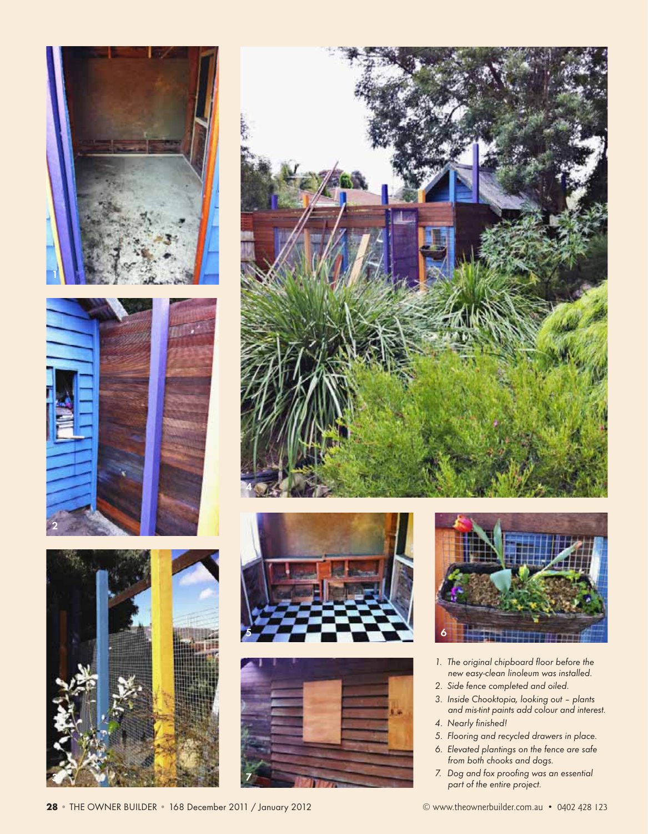



2











- 1. The original chipboard floor before the new easy-clean linoleum was installed.
- 2. Side fence completed and oiled.
- 3. Inside Chooktopia, looking out plants and mis-tint paints add colour and interest.
- 4. Nearly finished!
- 5. Flooring and recycled drawers in place.
- 6. Elevated plantings on the fence are safe from both chooks and dogs.
- 7. Dog and fox proofing was an essential part of the entire project.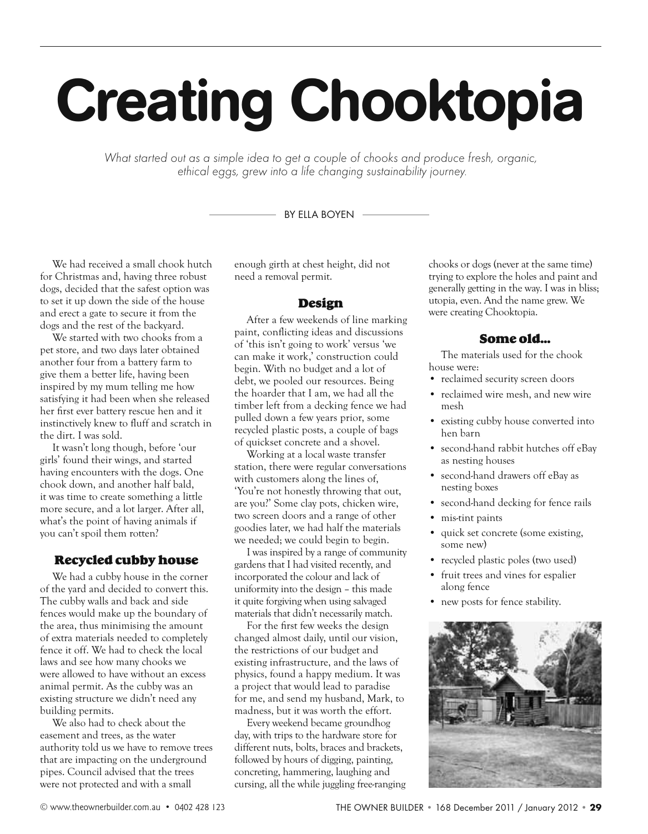# Creating Chooktopia

What started out as a simple idea to get a couple of chooks and produce fresh, organic, ethical eggs, grew into a life changing sustainability journey.

#### BY FILA BOYEN  $-$

We had received a small chook hutch for Christmas and, having three robust dogs, decided that the safest option was to set it up down the side of the house and erect a gate to secure it from the dogs and the rest of the backyard.

We started with two chooks from a pet store, and two days later obtained another four from a battery farm to give them a better life, having been inspired by my mum telling me how satisfying it had been when she released her first ever battery rescue hen and it instinctively knew to fluff and scratch in the dirt. I was sold.

It wasn't long though, before 'our girls' found their wings, and started having encounters with the dogs. One chook down, and another half bald, it was time to create something a little more secure, and a lot larger. After all, what's the point of having animals if you can't spoil them rotten?

# Recycled cubby house

We had a cubby house in the corner of the yard and decided to convert this. The cubby walls and back and side fences would make up the boundary of the area, thus minimising the amount of extra materials needed to completely fence it off. We had to check the local laws and see how many chooks we were allowed to have without an excess animal permit. As the cubby was an existing structure we didn't need any building permits.

We also had to check about the easement and trees, as the water authority told us we have to remove trees that are impacting on the underground pipes. Council advised that the trees were not protected and with a small

enough girth at chest height, did not need a removal permit.

#### Design

After a few weekends of line marking paint, conflicting ideas and discussions of 'this isn't going to work' versus 'we can make it work,' construction could begin. With no budget and a lot of debt, we pooled our resources. Being the hoarder that I am, we had all the timber left from a decking fence we had pulled down a few years prior, some recycled plastic posts, a couple of bags of quickset concrete and a shovel.

Working at a local waste transfer station, there were regular conversations with customers along the lines of, 'You're not honestly throwing that out, are you?' Some clay pots, chicken wire, two screen doors and a range of other goodies later, we had half the materials we needed; we could begin to begin.

I was inspired by a range of community gardens that I had visited recently, and incorporated the colour and lack of uniformity into the design – this made it quite forgiving when using salvaged materials that didn't necessarily match.

For the first few weeks the design changed almost daily, until our vision, the restrictions of our budget and existing infrastructure, and the laws of physics, found a happy medium. It was a project that would lead to paradise for me, and send my husband, Mark, to madness, but it was worth the effort.

Every weekend became groundhog day, with trips to the hardware store for different nuts, bolts, braces and brackets, followed by hours of digging, painting, concreting, hammering, laughing and cursing, all the while juggling free-ranging

chooks or dogs (never at the same time) trying to explore the holes and paint and generally getting in the way. I was in bliss; utopia, even. And the name grew. We were creating Chooktopia.

# Some old…

The materials used for the chook house were:

- reclaimed security screen doors
- reclaimed wire mesh, and new wire mesh
- existing cubby house converted into hen barn
- second-hand rabbit hutches off eBay as nesting houses
- second-hand drawers off eBay as nesting boxes
- second-hand decking for fence rails
- mis-tint paints
- quick set concrete (some existing, some new)
- recycled plastic poles (two used)
- fruit trees and vines for espalier along fence
- new posts for fence stability.